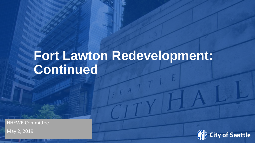# **Fort Lawton Redevelopment: Continued**

HHEWR Committee

Date (xx/xx/ **(02/25/2019)** xxxx) Department Name **Mayor's Office** Page Number May 2, 2019

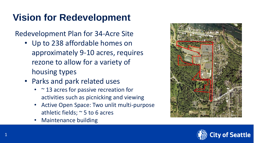## **Vision for Redevelopment**

Redevelopment Plan for 34-Acre Site

- Up to 238 affordable homes on approximately 9-10 acres, requires rezone to allow for a variety of housing types
- Parks and park related uses
	- $\sim$  13 acres for passive recreation for activities such as picnicking and viewing
	- Active Open Space: Two unlit multi-purpose athletic fields; ~ 5 to 6 acres
	- Maintenance building



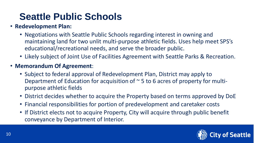### **Seattle Public Schools**

#### • **Redevelopment Plan:**

- Negotiations with Seattle Public Schools regarding interest in owning and maintaining land for two unlit multi-purpose athletic fields. Uses help meet SPS's educational/recreational needs, and serve the broader public.
- Likely subject of Joint Use of Facilities Agreement with Seattle Parks & Recreation.

#### • **Memorandum Of Agreement**:

- Subject to federal approval of Redevelopment Plan, District may apply to Department of Education for acquisition of  $\sim$  5 to 6 acres of property for multipurpose athletic fields
- District decides whether to acquire the Property based on terms approved by DoE
- Financial responsibilities for portion of predevelopment and caretaker costs
- If District elects not to acquire Property, City will acquire through public benefit conveyance by Department of Interior.

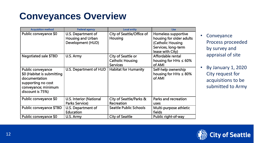### **Conveyances Overview**

| <b>Acquisition method</b>                                                                                                         | <b>Federal agency</b>                                                      | <b>Local entity</b>                                              | <b>Use</b>                                                                                                      |
|-----------------------------------------------------------------------------------------------------------------------------------|----------------------------------------------------------------------------|------------------------------------------------------------------|-----------------------------------------------------------------------------------------------------------------|
| Public conveyance \$0                                                                                                             | U.S. Department of<br><b>Housing and Urban</b><br><b>Development (HUD)</b> | City of Seattle/Office of<br><b>Housing</b>                      | Homeless supportive<br>housing for older adults<br>(Catholic Housing<br>Services, long-term<br>lease with City) |
| <b>Negotiated sale \$TBD</b>                                                                                                      | U.S. Army                                                                  | City of Seattle or<br><b>Catholic Housing</b><br><b>Services</b> | Affordable rental<br>housing for HHs $\leq 60\%$<br>of AMI                                                      |
| Public conveyance<br>\$0 (Habitat is submitting<br>documentation<br>supporting no cost<br>conveyance; minimum<br>discount is 75%) | U.S. Department of HUD                                                     | <b>Habitat for Humanity</b>                                      | Self-help ownership<br>housing for HHs $\leq$ 80%<br>of AMI                                                     |
| Public conveyance \$0                                                                                                             | <b>U.S. Interior (National</b><br><b>Parks Service)</b>                    | City of Seattle/Parks &<br>Recreation                            | <b>Parks and recreation</b><br>uses                                                                             |
| Public conveyance \$TBD                                                                                                           | U.S. Department of<br><b>Education</b>                                     | <b>Seattle Public Schools</b>                                    | Multi-purpose athletic<br>fields                                                                                |
| Public conveyance \$0                                                                                                             | U.S. Army                                                                  | <b>City of Seattle</b>                                           | Public right-of-way                                                                                             |

- Conveyance Process proceeded by survey and appraisal of site
- By January 1, 2020 City request for acquisitions to be submitted to Army